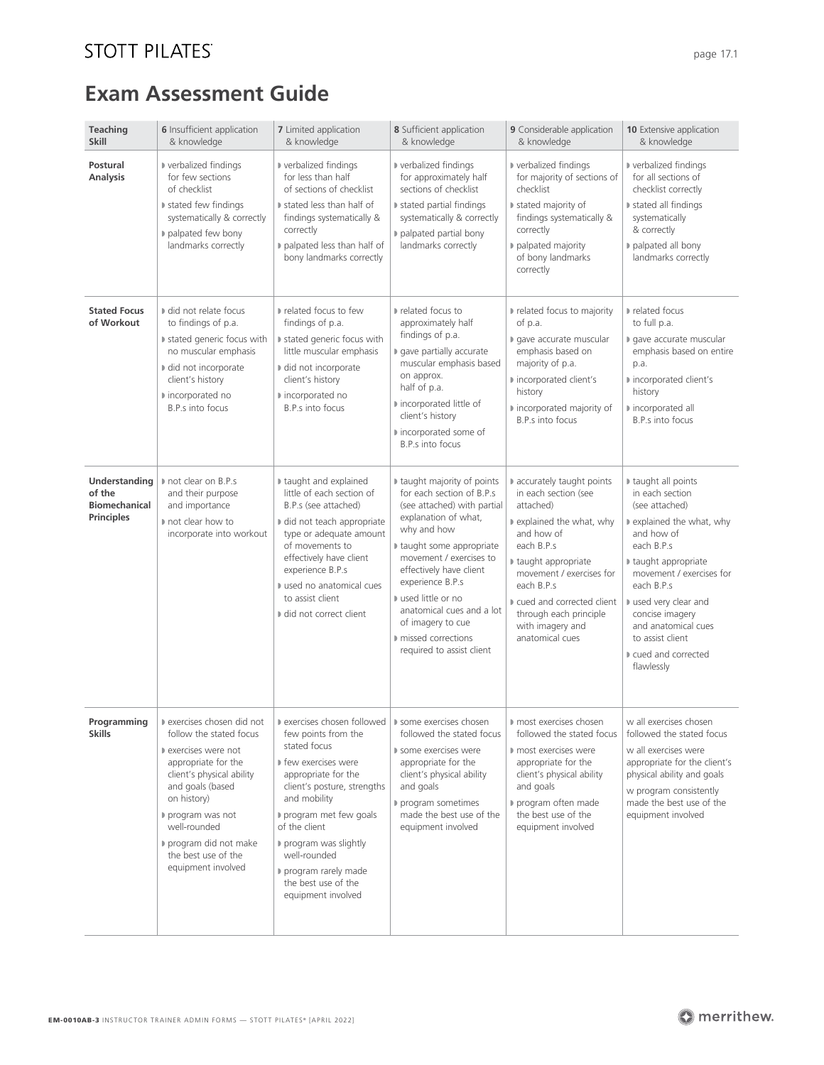## **STOTT PILATES**

# **Exam Assessment Guide**

| <b>Teaching</b><br><b>Skill</b>                                      | <b>6</b> Insufficient application<br>& knowledge                                                                                                                                                                                             | <b>7</b> Limited application<br>& knowledge                                                                                                                                                                                                                                                                                                                                                                                          | 8 Sufficient application<br>& knowledge                                                                                                                                                                                                                                                                                                                         | <b>9</b> Considerable application<br>& knowledge                                                                                                                                                                                                                                   | <b>10</b> Extensive application<br>& knowledge                                                                                                                                                                                                                                                         |
|----------------------------------------------------------------------|----------------------------------------------------------------------------------------------------------------------------------------------------------------------------------------------------------------------------------------------|--------------------------------------------------------------------------------------------------------------------------------------------------------------------------------------------------------------------------------------------------------------------------------------------------------------------------------------------------------------------------------------------------------------------------------------|-----------------------------------------------------------------------------------------------------------------------------------------------------------------------------------------------------------------------------------------------------------------------------------------------------------------------------------------------------------------|------------------------------------------------------------------------------------------------------------------------------------------------------------------------------------------------------------------------------------------------------------------------------------|--------------------------------------------------------------------------------------------------------------------------------------------------------------------------------------------------------------------------------------------------------------------------------------------------------|
| Postural<br><b>Analysis</b>                                          | verbalized findings<br>for few sections<br>of checklist<br>stated few findings<br>systematically & correctly<br>p palpated few bony<br>landmarks correctly                                                                                   | verbalized findings<br>for less than half<br>of sections of checklist<br>stated less than half of<br>findings systematically &<br>correctly<br>palpated less than half of<br>bony landmarks correctly                                                                                                                                                                                                                                | verbalized findings<br>for approximately half<br>sections of checklist<br>In stated partial findings<br>systematically & correctly<br>p palpated partial bony<br>landmarks correctly                                                                                                                                                                            | ■ verbalized findings<br>for majority of sections of<br>checklist<br>I stated majority of<br>findings systematically &<br>correctly<br>palpated majority<br>of bony landmarks<br>correctly                                                                                         | verbalized findings<br>for all sections of<br>checklist correctly<br>stated all findings<br>systematically<br>& correctly<br>palpated all bony<br>landmarks correctly                                                                                                                                  |
| <b>Stated Focus</b><br>of Workout                                    | did not relate focus<br>to findings of p.a.<br>stated generic focus with<br>no muscular emphasis<br>did not incorporate<br>client's history<br>nincorporated no<br>B.P.s into focus                                                          | nelated focus to few<br>findings of p.a.<br>I stated generic focus with<br>little muscular emphasis<br>I did not incorporate<br>client's history<br>■ incorporated no<br>B.P.s into focus                                                                                                                                                                                                                                            | nelated focus to<br>approximately half<br>findings of p.a.<br>gave partially accurate<br>muscular emphasis based<br>on approx.<br>half of p.a.<br>nincorporated little of<br>client's history<br>I incorporated some of<br>B.P.s into focus                                                                                                                     | related focus to majority<br>of p.a.<br>gave accurate muscular<br>emphasis based on<br>majority of p.a.<br>nincorporated client's<br>history<br>nincorporated majority of<br><b>B.P.s into focus</b>                                                                               | nelated focus<br>to full p.a.<br>gave accurate muscular<br>emphasis based on entire<br>p.a.<br>nincorporated client's<br>history<br>nincorporated all<br>B.P.s into focus                                                                                                                              |
| Understanding<br>of the<br><b>Biomechanical</b><br><b>Principles</b> | not clear on B.P.s<br>and their purpose<br>and importance<br>not clear how to<br>incorporate into workout                                                                                                                                    | taught and explained<br>little of each section of<br>B.P.s (see attached)<br>I did not teach appropriate<br>type or adequate amount<br>of movements to<br>effectively have client<br>experience B.P.s<br>used no anatomical cues<br>to assist client<br>I did not correct client                                                                                                                                                     | I taught majority of points<br>for each section of B.P.s<br>(see attached) with partial<br>explanation of what,<br>why and how<br>I taught some appropriate<br>movement / exercises to<br>effectively have client<br>experience B.P.s<br>used little or no<br>anatomical cues and a lot<br>of imagery to cue<br>missed corrections<br>required to assist client | accurately taught points<br>in each section (see<br>attached)<br>explained the what, why<br>and how of<br>each B.P.s<br>taught appropriate<br>movement / exercises for<br>each B.P.s<br>cued and corrected client<br>through each principle<br>with imagery and<br>anatomical cues | taught all points<br>in each section<br>(see attached)<br>explained the what, why<br>and how of<br>each B.P.s<br>taught appropriate<br>movement / exercises for<br>each B.P.s<br>used very clear and<br>concise imagery<br>and anatomical cues<br>to assist client<br>cued and corrected<br>flawlessly |
| <b>Skills</b>                                                        | follow the stated focus<br>exercises were not<br>appropriate for the<br>client's physical ability<br>and goals (based<br>on history)<br>program was not<br>well-rounded<br>program did not make<br>the best use of the<br>equipment involved | <b>Programming</b> $\downarrow$ » exercises chosen did not $\downarrow$ » exercises chosen followed $\downarrow$ » some exercises chosen<br>few points from the<br>stated focus<br>If few exercises were<br>appropriate for the<br>client's posture, strengths<br>and mobility<br>program met few goals<br>of the client<br>program was slightly<br>well-rounded<br>program rarely made<br>the best use of the<br>equipment involved | followed the stated focus<br>some exercises were<br>appropriate for the<br>client's physical ability<br>and goals<br>program sometimes<br>made the best use of the<br>equipment involved                                                                                                                                                                        | most exercises chosen<br>followed the stated focus<br>most exercises were<br>appropriate for the<br>client's physical ability<br>and goals<br>program often made<br>the best use of the<br>equipment involved                                                                      | w all exercises chosen<br>followed the stated focus<br>w all exercises were<br>appropriate for the client's<br>physical ability and goals<br>w program consistently<br>made the best use of the<br>equipment involved                                                                                  |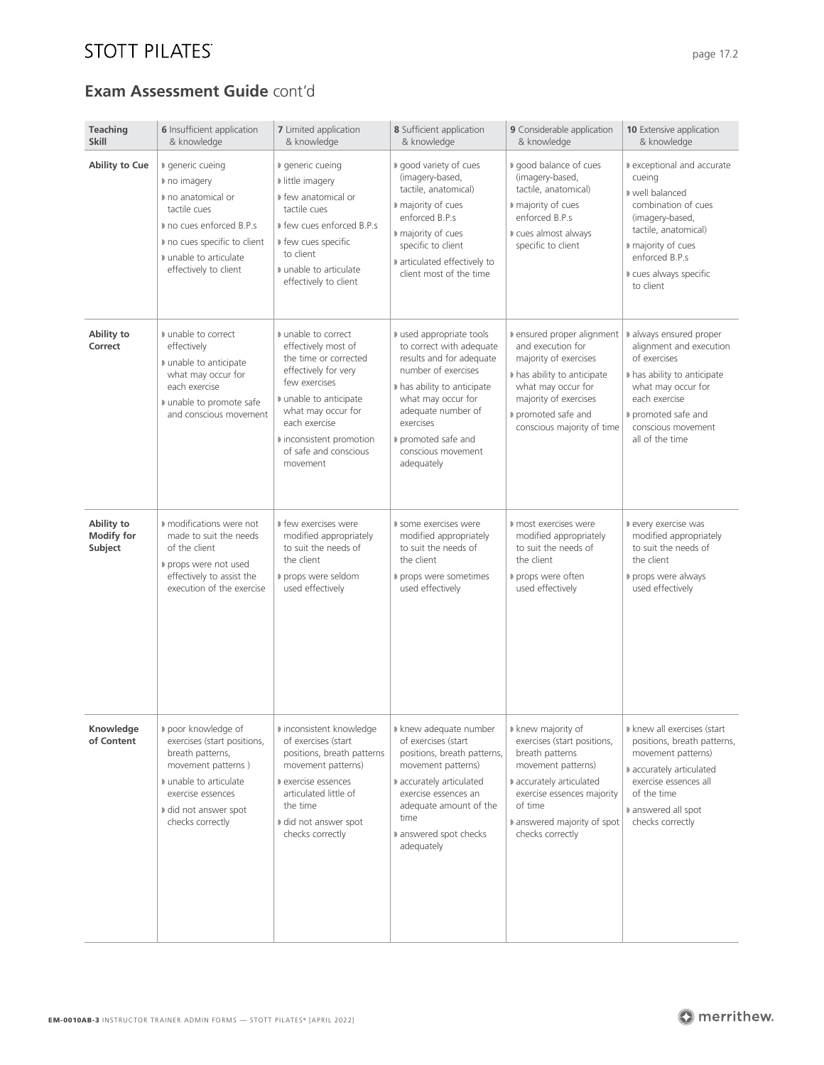## **STOTT PILATES**

### **Exam Assessment Guide** cont'd

| Teaching<br><b>Skill</b>                   | <b>6</b> Insufficient application<br>& knowledge                                                                                                                                     | <b>7</b> Limited application<br>& knowledge                                                                                                                                                                                                | 8 Sufficient application<br>& knowledge                                                                                                                                                                                                                | <b>9</b> Considerable application<br>& knowledge                                                                                                                                                                | <b>10</b> Extensive application<br>& knowledge                                                                                                                                                        |
|--------------------------------------------|--------------------------------------------------------------------------------------------------------------------------------------------------------------------------------------|--------------------------------------------------------------------------------------------------------------------------------------------------------------------------------------------------------------------------------------------|--------------------------------------------------------------------------------------------------------------------------------------------------------------------------------------------------------------------------------------------------------|-----------------------------------------------------------------------------------------------------------------------------------------------------------------------------------------------------------------|-------------------------------------------------------------------------------------------------------------------------------------------------------------------------------------------------------|
| Ability to Cue                             | ■ generic cueing<br>no imagery<br>no anatomical or<br>tactile cues<br>no cues enforced B.P.s<br>no cues specific to client<br>unable to articulate<br>effectively to client          | ■ generic cueing<br>If little imagery<br>▶ few anatomical or<br>tactile cues<br>■ few cues enforced B.P.s<br>I few cues specific<br>to client<br>unable to articulate<br>effectively to client                                             | ■ good variety of cues<br>(imagery-based,<br>tactile, anatomical)<br>majority of cues<br>enforced B.P.s<br>majority of cues<br>specific to client<br>articulated effectively to<br>client most of the time                                             | good balance of cues<br>(imagery-based,<br>tactile, anatomical)<br>majority of cues<br>enforced B.P.s<br>cues almost always<br>specific to client                                                               | lexceptional and accurate<br>cueing<br>well balanced<br>combination of cues<br>(imagery-based,<br>tactile, anatomical)<br>majority of cues<br>enforced B.P.s<br>cues always specific<br>to client     |
| Ability to<br>Correct                      | unable to correct<br>effectively<br>unable to anticipate<br>what may occur for<br>each exercise<br>unable to promote safe<br>and conscious movement                                  | unable to correct<br>effectively most of<br>the time or corrected<br>effectively for very<br>few exercises<br>unable to anticipate<br>what may occur for<br>each exercise<br>I inconsistent promotion<br>of safe and conscious<br>movement | used appropriate tools<br>to correct with adequate<br>results and for adequate<br>number of exercises<br>I has ability to anticipate<br>what may occur for<br>adequate number of<br>exercises<br>promoted safe and<br>conscious movement<br>adequately | Densured proper alignment<br>and execution for<br>majority of exercises<br>I has ability to anticipate<br>what may occur for<br>majority of exercises<br>promoted safe and<br>conscious majority of time        | always ensured proper<br>alignment and execution<br>of exercises<br>In has ability to anticipate<br>what may occur for<br>each exercise<br>promoted safe and<br>conscious movement<br>all of the time |
| Ability to<br><b>Modify for</b><br>Subject | ■ modifications were not<br>made to suit the needs<br>of the client<br>props were not used<br>effectively to assist the<br>execution of the exercise                                 | I few exercises were<br>modified appropriately<br>to suit the needs of<br>the client<br>props were seldom<br>used effectively                                                                                                              | ■ some exercises were<br>modified appropriately<br>to suit the needs of<br>the client<br>props were sometimes<br>used effectively                                                                                                                      | most exercises were<br>modified appropriately<br>to suit the needs of<br>the client<br>props were often<br>used effectively                                                                                     | levery exercise was<br>modified appropriately<br>to suit the needs of<br>the client<br>props were always<br>used effectively                                                                          |
| Knowledge<br>of Content                    | poor knowledge of<br>exercises (start positions,<br>breath patterns,<br>movement patterns)<br>unable to articulate<br>exercise essences<br>I did not answer spot<br>checks correctly | ■ inconsistent knowledge<br>of exercises (start<br>positions, breath patterns<br>movement patterns)<br>exercise essences<br>articulated little of<br>the time<br>I did not answer spot<br>checks correctly                                 | I knew adequate number<br>of exercises (start<br>positions, breath patterns,<br>movement patterns)<br>accurately articulated<br>exercise essences an<br>adequate amount of the<br>time<br>answered spot checks<br>adequately                           | I knew majority of<br>exercises (start positions,<br>breath patterns<br>movement patterns)<br>accurately articulated<br>exercise essences majority<br>of time<br>lanswered majority of spot<br>checks correctly | I knew all exercises (start<br>positions, breath patterns,<br>movement patterns)<br>accurately articulated<br>exercise essences all<br>of the time<br>answered all spot<br>checks correctly           |